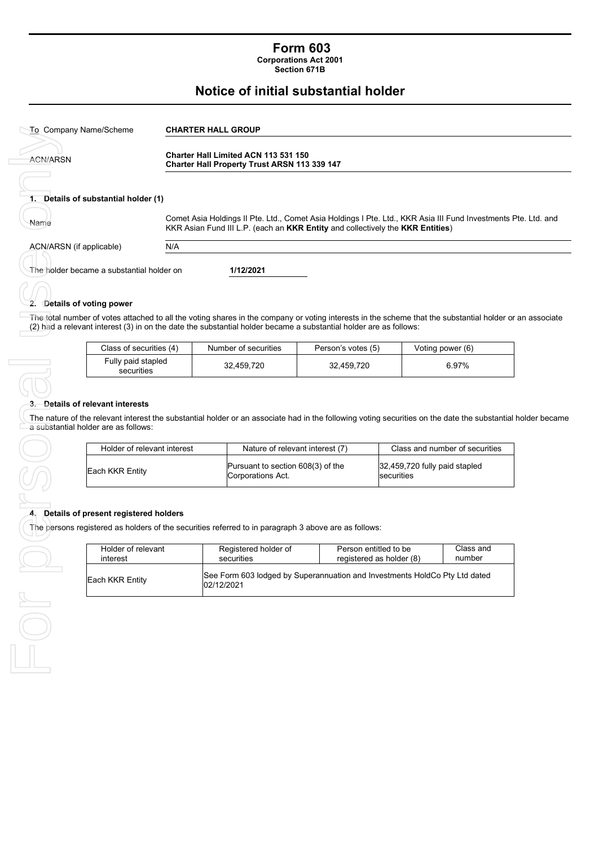# **Form 603**

**Corporations Act 2001 Section 671B**

## **Notice of initial substantial holder**

| To Company Name/Scheme                    | <b>CHARTER HALL GROUP</b>                                                                                                                                                                        |  |  |
|-------------------------------------------|--------------------------------------------------------------------------------------------------------------------------------------------------------------------------------------------------|--|--|
| <b>ACN/ARSN</b>                           | <b>Charter Hall Limited ACN 113 531 150</b><br>Charter Hall Property Trust ARSN 113 339 147                                                                                                      |  |  |
| 1. Details of substantial holder (1)      |                                                                                                                                                                                                  |  |  |
| Name                                      | Comet Asia Holdings II Pte. Ltd., Comet Asia Holdings I Pte. Ltd., KKR Asia III Fund Investments Pte. Ltd. and<br>KKR Asian Fund III L.P. (each an KKR Entity and collectively the KKR Entities) |  |  |
| ACN/ARSN (if applicable)                  | N/A                                                                                                                                                                                              |  |  |
| The holder became a substantial holder on | 1/12/2021                                                                                                                                                                                        |  |  |

## **2. Details of voting power**

The total number of votes attached to all the voting shares in the company or voting interests in the scheme that the substantial holder or an associate (2) had a relevant interest (3) in on the date the substantial holder became a substantial holder are as follows:

| Class of securities (4)          | Number of securities | Person's votes (5) | Voting power (6) |
|----------------------------------|----------------------|--------------------|------------------|
| Fully paid stapled<br>securities | 32.459.720           | 32.459.720         | 6.97%            |

#### **3. Details of relevant interests**

The nature of the relevant interest the substantial holder or an associate had in the following voting securities on the date the substantial holder became a substantial holder are as follows:

| Holder of relevant interest | Nature of relevant interest (7)                        | Class and number of securities              |
|-----------------------------|--------------------------------------------------------|---------------------------------------------|
| <b>IEach KKR Entity</b>     | Pursuant to section 608(3) of the<br>Corporations Act. | 32,459,720 fully paid stapled<br>securities |

#### **4. Details of present registered holders**

The persons registered as holders of the securities referred to in paragraph 3 above are as follows:

| Holder of relevant | Registered holder of                                                                     | Person entitled to be    | Class and |
|--------------------|------------------------------------------------------------------------------------------|--------------------------|-----------|
| interest           | securities                                                                               | registered as holder (8) | number    |
| Each KKR Entity    | See Form 603 lodged by Superannuation and Investments HoldCo Pty Ltd dated<br>02/12/2021 |                          |           |